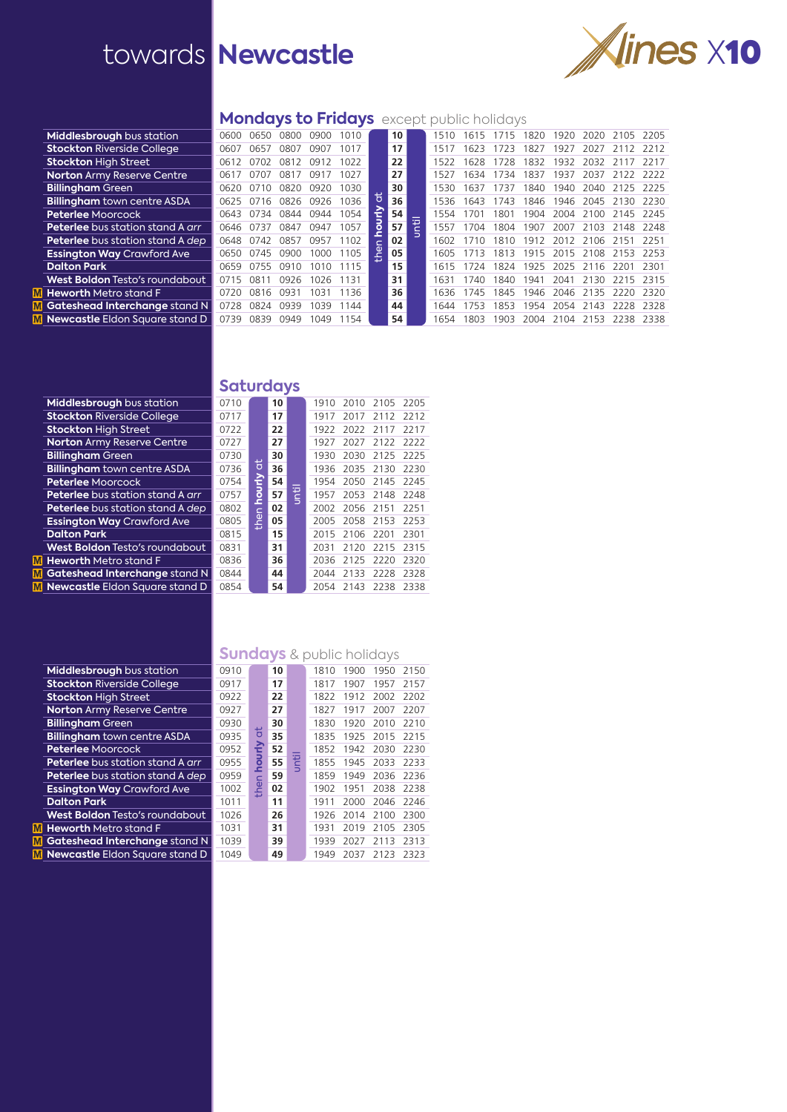

#### **Mondays to Fridays** except public holidays

| 0600                                  | 0650 | 0800 | 0900 | 1010 |    | 10                             | 1510 | 1615 | 1715 | 1820 | 1920         | 2020 | 2105         | 2205                                   |
|---------------------------------------|------|------|------|------|----|--------------------------------|------|------|------|------|--------------|------|--------------|----------------------------------------|
| 0607                                  | 0657 | 0807 | 0907 | 1017 |    | 17                             | 1517 | 1623 | 1723 | 1827 | 1927         | 2027 |              | 2212                                   |
| 0612                                  | 0702 | 0812 | 0912 | 1022 |    | 22                             | 1522 | 1628 | 1728 | 1832 | 1932         | 2032 | - 21         | 2217                                   |
| 0617                                  | 0707 | 0817 | 0917 | 1027 |    | 27                             | 1527 | 1634 | 1734 | 1837 | 1937         | 2037 | 2122         | 2222                                   |
| 0620                                  | 0710 | 0820 | 0920 | 1030 |    | 30                             | 1530 | 1637 | 1737 | 1840 |              | 2040 |              | -2225                                  |
| 0625                                  | 0716 | 0826 | 0926 | 1036 |    | 36                             | 1536 | 1643 | 1743 | 1846 | 1946         | 2045 | 2130         | 2230                                   |
| 0643                                  | 0734 | 0844 | 0944 | 1054 |    | 54                             | 1554 | 1701 | 1801 | 1904 | 2004         | 2100 | 2145         | -2245                                  |
| 0646                                  | 0737 | 0847 | 0947 | 1057 |    | 57                             | 1557 | 1704 | 1804 | 1907 | 2007         | 2103 | 2148         | 2248                                   |
| 0648                                  | 0742 | 0857 | 0957 | 1102 | Ċ. | 02                             | 1602 | 1710 | 1810 | 1912 | 2012         |      |              | 2251                                   |
| 0650                                  | 0745 | 0900 | 1000 | 1105 |    | 05                             | 1605 | 1713 | 1813 | 1915 | 2015         |      |              | -2253                                  |
| 0659                                  | 0755 | 0910 | 1010 | 1115 |    | 15                             | 1615 | 1724 |      |      |              |      |              | 2301                                   |
| 0715                                  | 081  | 0926 | 1026 | 1131 |    | 31                             | 1631 | 1740 | 1840 | 1941 | 2041         | 2130 | 2215         | 2315                                   |
| 0720                                  | 0816 | 0931 | 1031 | 1136 |    | 36                             | 1636 | 1745 | 1845 | 1946 | 2046         | 2135 | 2220         | 2320                                   |
| Gateshead Interchange stand N<br>0728 | 0824 | 0939 | 1039 | 1144 |    | 44                             | 1644 | 1753 | 1853 | 1954 | 2054         | 2143 | 2228         | 2328                                   |
| 0739                                  | 0839 | 0949 | 1049 | 1154 |    | 54                             | 1654 | 1803 | 1903 | 2004 | 2104         | 2153 | 2238         | 2338                                   |
|                                       |      |      |      |      |    | ŏ<br>Ε<br>ā<br>le <sub>d</sub> | ı₹   |      |      |      | 1824<br>1925 | 2025 | 1940<br>2108 | 2125<br>2106 2151<br>2153<br>2116 2201 |

### **Saturdays**

| Middlesbrough bus station               | 0710 |        | 10 |   | 1910 | 2010 | 2105      | 2205 |
|-----------------------------------------|------|--------|----|---|------|------|-----------|------|
| <b>Stockton Riverside College</b>       | 0717 |        | 17 |   | 1917 | 2017 | 2112      | 2212 |
| <b>Stockton High Street</b>             | 0722 |        | 22 |   | 1922 | 2022 | 2117      | 2217 |
| <b>Norton Army Reserve Centre</b>       | 0727 |        | 27 |   | 1927 | 2027 | 2122      | 2222 |
| <b>Billingham Green</b>                 | 0730 |        | 30 |   | 1930 | 2030 | 2125      | 2225 |
| <b>Billingham</b> town centre ASDA      | 0736 | ਰਿ     | 36 |   | 1936 |      | 2035 2130 | 2230 |
| <b>Peterlee Moorcock</b>                | 0754 |        | 54 |   | 1954 | 2050 | 2145      | 2245 |
| <b>Peterlee</b> bus station stand A arr | 0757 | hourly | 57 | Ē | 1957 |      | 2053 2148 | 2248 |
| <b>Peterlee</b> bus station stand A dep | 0802 |        | 02 |   | 2002 | 2056 | 2151      | 2251 |
| <b>Essington Way Crawford Ave</b>       | 0805 | then   | 05 |   | 2005 | 2058 | 2153      | 2253 |
| <b>Dalton Park</b>                      | 0815 |        | 15 |   | 2015 | 2106 | 2201      | 2301 |
| West Boldon Testo's roundabout          | 0831 |        | 31 |   | 2031 | 2120 | 2215      | 2315 |
| <b>Heworth Metro stand F</b>            | 0836 |        | 36 |   | 2036 | 2125 | 2220      | 2320 |
| Gateshead Interchange stand N           | 0844 |        | 44 |   | 2044 | 2133 | 2228      | 2328 |
| <b>Newcastle Eldon Square stand D</b>   | 0854 |        | 54 |   | 2054 | 2143 | 2238      | 2338 |

# **Sundays** & public holidays

| Middlesbrough bus station               | 0910 |                | 10 |   | 1810 | 1900 | 1950 | 2150 |
|-----------------------------------------|------|----------------|----|---|------|------|------|------|
| <b>Stockton Riverside College</b>       | 0917 |                | 17 |   | 1817 | 1907 | 1957 | 2157 |
| <b>Stockton High Street</b>             | 0922 |                | 22 |   | 1822 | 1912 | 2002 | 2202 |
| <b>Norton Army Reserve Centre</b>       | 0927 |                | 27 |   | 1827 | 1917 | 2007 | 2207 |
| <b>Billingham Green</b>                 | 0930 |                | 30 |   | 1830 | 1920 | 2010 | 2210 |
| <b>Billingham</b> town centre ASDA      | 0935 | $\overline{5}$ | 35 |   | 1835 | 1925 | 2015 | 2215 |
| <b>Peterlee Moorcock</b>                | 0952 | ъ              | 52 |   | 1852 | 1942 | 2030 | 2230 |
| <b>Peterlee</b> bus station stand A arr | 0955 | ā              | 55 | E | 1855 | 1945 | 2033 | 2233 |
| Peterlee bus station stand A dep        | 0959 |                | 59 |   | 1859 | 1949 | 2036 | 2236 |
| <b>Essington Way Crawford Ave</b>       | 1002 | the            | 02 |   | 1902 | 1951 | 2038 | 2238 |
| <b>Dalton Park</b>                      | 1011 |                | 11 |   | 1911 | 2000 | 2046 | 2246 |
| <b>West Boldon Testo's roundabout</b>   | 1026 |                | 26 |   | 1926 | 2014 | 2100 | 2300 |
| <b>Heworth</b> Metro stand F            | 1031 |                | 31 |   | 1931 | 2019 | 2105 | 2305 |
| Gateshead Interchange stand N           | 1039 |                | 39 |   | 1939 | 2027 | 2113 | 2313 |
| Newcastle Eldon Square stand D          | 1049 |                | 49 |   | 1949 | 2037 | 2123 | 2323 |